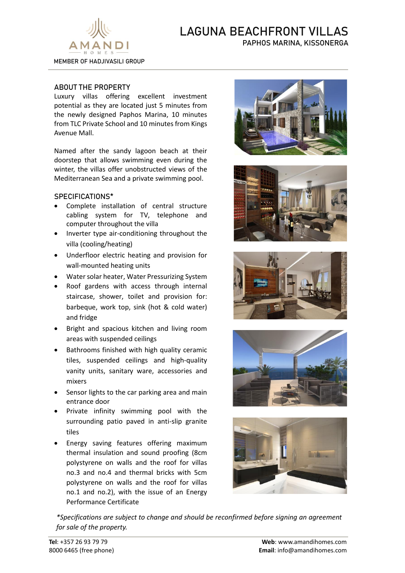

# LAGUNA BEACHFRONT VILLAS PAPHOS MARINA, KISSONERGA

## ABOUT THE PROPERTY

Luxury villas offering excellent investment potential as they are located just 5 minutes from the newly designed Paphos Marina, 10 minutes from TLC Private School and 10 minutes from Kings Avenue Mall.

Named after the sandy lagoon beach at their doorstep that allows swimming even during the winter, the villas offer unobstructed views of the Mediterranean Sea and a private swimming pool.

### SPECIFICATIONS\*

- Complete installation of central structure cabling system for TV, telephone and computer throughout the villa
- Inverter type air-conditioning throughout the villa (cooling/heating)
- Underfloor electric heating and provision for wall-mounted heating units
- Water solar heater, Water Pressurizing System
- Roof gardens with access through internal staircase, shower, toilet and provision for: barbeque, work top, sink (hot & cold water) and fridge
- Bright and spacious kitchen and living room areas with suspended ceilings
- Bathrooms finished with high quality ceramic tiles, suspended ceilings and high-quality vanity units, sanitary ware, accessories and mixers
- Sensor lights to the car parking area and main entrance door
- Private infinity swimming pool with the surrounding patio paved in anti-slip granite tiles
- Energy saving features offering maximum thermal insulation and sound proofing (8cm polystyrene on walls and the roof for villas no.3 and no.4 and thermal bricks with 5cm polystyrene on walls and the roof for villas no.1 and no.2), with the issue of an Energy Performance Certificate











*\*Specifications are subject to change and should be reconfirmed before signing an agreement for sale of the property.*